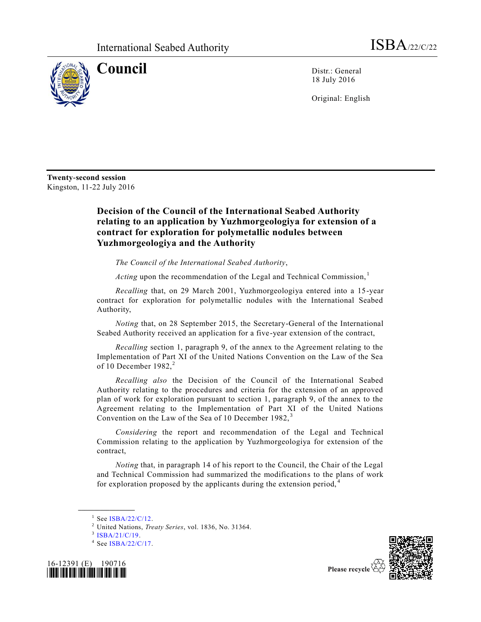

**Council** Distr.: General 18 July 2016

Original: English

**Twenty-second session**  Kingston, 11-22 July 2016

## **Decision of the Council of the International Seabed Authority relating to an application by Yuzhmorgeologiya for extension of a contract for exploration for polymetallic nodules between Yuzhmorgeologiya and the Authority**

*The Council of the International Seabed Authority*,

*Acting* upon the recommendation of the Legal and Technical Commission,<sup>1</sup>

*Recalling* that, on 29 March 2001, Yuzhmorgeologiya entered into a 15-year contract for exploration for polymetallic nodules with the International Seabed Authority,

*Noting* that, on 28 September 2015, the Secretary-General of the International Seabed Authority received an application for a five-year extension of the contract,

*Recalling* section 1, paragraph 9, of the annex to the Agreement relating to the Implementation of Part XI of the United Nations Convention on the Law of the Sea of 10 December  $1982$ <sup>2</sup>

*Recalling also* the Decision of the Council of the International Seabed Authority relating to the procedures and criteria for the extension of an approved plan of work for exploration pursuant to section 1, paragraph 9, of the annex to the Agreement relating to the Implementation of Part XI of the United Nations Convention on the Law of the Sea of 10 December 1982, <sup>3</sup>

*Considering* the report and recommendation of the Legal and Technical Commission relating to the application by Yuzhmorgeologiya for extension of the contract,

*Noting* that, in paragraph 14 of his report to the Council, the Chair of the Legal and Technical Commission had summarized the modifications to the plans of work for exploration proposed by the applicants during the extension period,<sup>4</sup>

**\_\_\_\_\_\_\_\_\_\_\_\_\_\_\_\_\_\_**

<sup>3</sup> [ISBA/21/C/19.](http://undocs.org/ISBA/21/C/19)

<sup>&</sup>lt;sup>4</sup> See [ISBA/22/C/17.](http://undocs.org/ISBA/22/C/17)





 $1$  See [ISBA/22/C/12.](http://undocs.org/ISBA/22/C/12)

<sup>2</sup> United Nations, *Treaty Series*, vol. 1836, No. 31364.